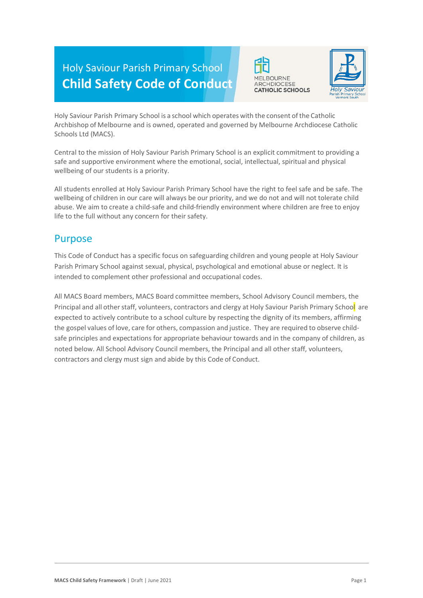# Holy Saviour Parish Primary School **Child Safety Code of Conduct**





Holy Saviour Parish Primary School is a school which operates with the consent of the Catholic Archbishop of Melbourne and is owned, operated and governed by Melbourne Archdiocese Catholic Schools Ltd (MACS).

Central to the mission of Holy Saviour Parish Primary School is an explicit commitment to providing a safe and supportive environment where the emotional, social, intellectual, spiritual and physical wellbeing of our students is a priority.

All students enrolled at Holy Saviour Parish Primary School have the right to feel safe and be safe. The wellbeing of children in our care will always be our priority, and we do not and will not tolerate child abuse. We aim to create a child-safe and child-friendly environment where children are free to enjoy life to the full without any concern for their safety.

#### Purpose

This Code of Conduct has a specific focus on safeguarding children and young people at Holy Saviour Parish Primary School against sexual, physical, psychological and emotional abuse or neglect. It is intended to complement other professional and occupational codes.

All MACS Board members, MACS Board committee members, School Advisory Council members, the Principal and all other staff, volunteers, contractors and clergy at Holy Saviour Parish Primary School are expected to actively contribute to a school culture by respecting the dignity of its members, affirming the gospel values of love, care for others, compassion and justice. They are required to observe childsafe principles and expectations for appropriate behaviour towards and in the company of children, as noted below. All School Advisory Council members, the Principal and all other staff, volunteers, contractors and clergy must sign and abide by this Code of Conduct.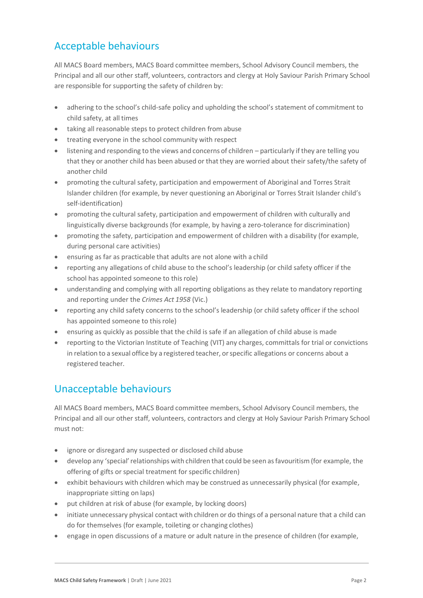## Acceptable behaviours

All MACS Board members, MACS Board committee members, School Advisory Council members, the Principal and all our other staff, volunteers, contractors and clergy at Holy Saviour Parish Primary School are responsible for supporting the safety of children by:

- adhering to the school's child-safe policy and upholding the school's statement of commitment to child safety, at all times
- taking all reasonable steps to protect children from abuse
- treating everyone in the school community with respect
- listening and responding to the views and concerns of children particularly if they are telling you that they or another child has been abused or that they are worried about their safety/the safety of another child
- promoting the cultural safety, participation and empowerment of Aboriginal and Torres Strait Islander children (for example, by never questioning an Aboriginal or Torres Strait Islander child's self-identification)
- promoting the cultural safety, participation and empowerment of children with culturally and linguistically diverse backgrounds (for example, by having a zero-tolerance for discrimination)
- promoting the safety, participation and empowerment of children with a disability (for example, during personal care activities)
- ensuring as far as practicable that adults are not alone with a child
- reporting any allegations of child abuse to the school's leadership (or child safety officer if the school has appointed someone to this role)
- understanding and complying with all reporting obligations as they relate to mandatory reporting and reporting under the *Crimes Act 1958* (Vic.)
- reporting any child safety concerns to the school's leadership (or child safety officer if the school has appointed someone to this role)
- ensuring as quickly as possible that the child is safe if an allegation of child abuse is made
- reporting to the Victorian Institute of Teaching (VIT) any charges, committals for trial or convictions in relation to a sexual office by a registered teacher, orspecific allegations or concerns about a registered teacher.

## Unacceptable behaviours

All MACS Board members, MACS Board committee members, School Advisory Council members, the Principal and all our other staff, volunteers, contractors and clergy at Holy Saviour Parish Primary School must not:

- ignore or disregard any suspected or disclosed child abuse
- develop any 'special'relationships with children that could be seen asfavouritism(for example, the offering of gifts or special treatment for specific children)
- exhibit behaviours with children which may be construed as unnecessarily physical (for example, inappropriate sitting on laps)
- put children at risk of abuse (for example, by locking doors)
- initiate unnecessary physical contact with children or do things of a personal nature that a child can do for themselves (for example, toileting or changing clothes)
- engage in open discussions of a mature or adult nature in the presence of children (for example,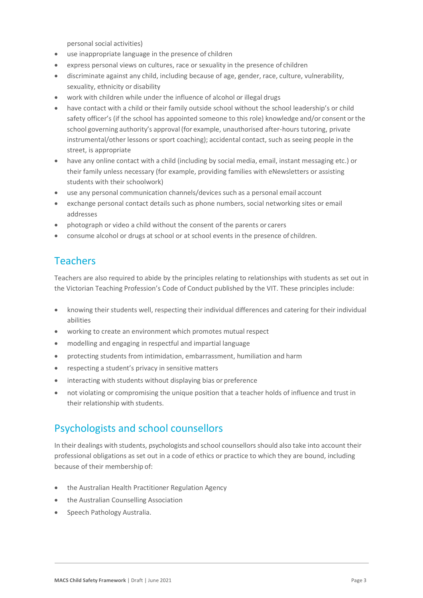personal social activities)

- use inappropriate language in the presence of children
- express personal views on cultures, race or sexuality in the presence of children
- discriminate against any child, including because of age, gender, race, culture, vulnerability, sexuality, ethnicity or disability
- work with children while under the influence of alcohol or illegal drugs
- have contact with a child or their family outside school without the school leadership's or child safety officer's (if the school has appointed someone to this role) knowledge and/or consent orthe school governing authority's approval (for example, unauthorised after-hours tutoring, private instrumental/other lessons or sport coaching); accidental contact, such as seeing people in the street, is appropriate
- have any online contact with a child (including by social media, email, instant messaging etc.) or their family unless necessary (for example, providing families with eNewsletters or assisting students with their schoolwork)
- use any personal communication channels/devices such as a personal email account
- exchange personal contact details such as phone numbers, social networking sites or email addresses
- photograph or video a child without the consent of the parents or carers
- consume alcohol or drugs at school or at school events in the presence of children.

## Teachers

Teachers are also required to abide by the principles relating to relationships with students as set out in the Victorian Teaching Profession's Code of Conduct published by the VIT. These principles include:

- knowing their students well, respecting their individual differences and catering for their individual abilities
- working to create an environment which promotes mutual respect
- modelling and engaging in respectful and impartial language
- protecting students from intimidation, embarrassment, humiliation and harm
- respecting a student's privacy in sensitive matters
- interacting with students without displaying bias or preference
- not violating or compromising the unique position that a teacher holds of influence and trust in their relationship with students.

#### Psychologists and school counsellors

In their dealings with students, psychologists and school counsellors should also take into account their professional obligations as set out in a code of ethics or practice to which they are bound, including because of their membership of:

- the Australian Health Practitioner Regulation Agency
- the Australian Counselling Association
- Speech Pathology Australia.